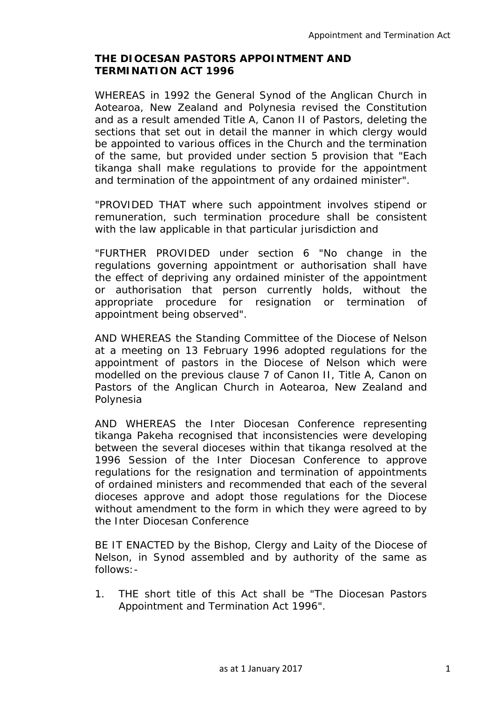# **THE DIOCESAN PASTORS APPOINTMENT AND TERMINATION ACT 1996**

WHEREAS in 1992 the General Synod of the Anglican Church in Aotearoa, New Zealand and Polynesia revised the Constitution and as a result amended Title A, Canon II of Pastors, deleting the sections that set out in detail the manner in which clergy would be appointed to various offices in the Church and the termination of the same, but provided under section 5 provision that "Each tikanga shall make regulations to provide for the appointment and termination of the appointment of any ordained minister".

"PROVIDED THAT where such appointment involves stipend or remuneration, such termination procedure shall be consistent with the law applicable in that particular jurisdiction and

"FURTHER PROVIDED under section 6 "No change in the regulations governing appointment or authorisation shall have the effect of depriving any ordained minister of the appointment or authorisation that person currently holds, without the appropriate procedure for resignation or termination of appointment being observed".

AND WHEREAS the Standing Committee of the Diocese of Nelson at a meeting on 13 February 1996 adopted regulations for the appointment of pastors in the Diocese of Nelson which were modelled on the previous clause 7 of Canon II, Title A, Canon on Pastors of the Anglican Church in Aotearoa, New Zealand and Polynesia

AND WHEREAS the Inter Diocesan Conference representing tikanga Pakeha recognised that inconsistencies were developing between the several dioceses within that tikanga resolved at the 1996 Session of the Inter Diocesan Conference to approve regulations for the resignation and termination of appointments of ordained ministers and recommended that each of the several dioceses approve and adopt those regulations for the Diocese without amendment to the form in which they were agreed to by the Inter Diocesan Conference

BE IT ENACTED by the Bishop, Clergy and Laity of the Diocese of Nelson, in Synod assembled and by authority of the same as follows:-

1. THE short title of this Act shall be "The Diocesan Pastors Appointment and Termination Act 1996".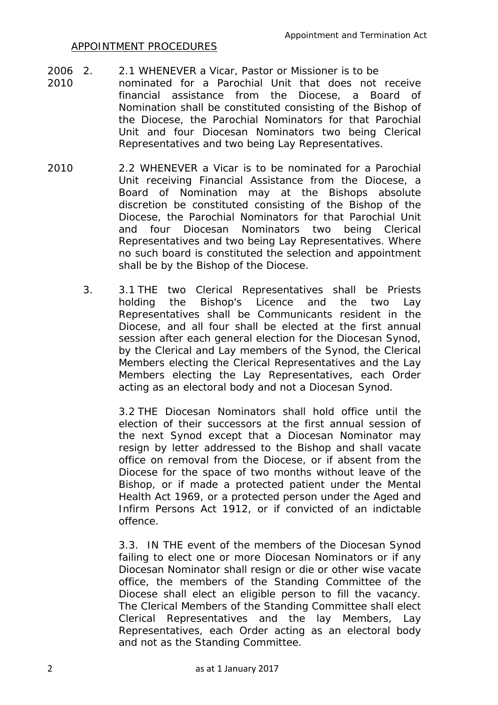## APPOINTMENT PROCEDURES

- 2006 2. 2.1 WHENEVER a Vicar, Pastor or Missioner is to be
- 2010 nominated for a Parochial Unit that does not receive financial assistance from the Diocese, a Board of Nomination shall be constituted consisting of the Bishop of the Diocese, the Parochial Nominators for that Parochial Unit and four Diocesan Nominators two being Clerical Representatives and two being Lay Representatives.
- 2010 2.2 WHENEVER a Vicar is to be nominated for a Parochial Unit receiving Financial Assistance from the Diocese, a Board of Nomination may at the Bishops absolute discretion be constituted consisting of the Bishop of the Diocese, the Parochial Nominators for that Parochial Unit and four Diocesan Nominators two being Clerical Representatives and two being Lay Representatives. Where no such board is constituted the selection and appointment shall be by the Bishop of the Diocese.
	- 3. 3.1 THE two Clerical Representatives shall be Priests holding the Bishop's Licence and the two Lay Representatives shall be Communicants resident in the Diocese, and all four shall be elected at the first annual session after each general election for the Diocesan Synod, by the Clerical and Lay members of the Synod, the Clerical Members electing the Clerical Representatives and the Lay Members electing the Lay Representatives, each Order acting as an electoral body and not a Diocesan Synod.

3.2 THE Diocesan Nominators shall hold office until the election of their successors at the first annual session of the next Synod except that a Diocesan Nominator may resign by letter addressed to the Bishop and shall vacate office on removal from the Diocese, or if absent from the Diocese for the space of two months without leave of the Bishop, or if made a protected patient under the Mental Health Act 1969, or a protected person under the Aged and Infirm Persons Act 1912, or if convicted of an indictable offence.

3.3. IN THE event of the members of the Diocesan Synod failing to elect one or more Diocesan Nominators or if any Diocesan Nominator shall resign or die or other wise vacate office, the members of the Standing Committee of the Diocese shall elect an eligible person to fill the vacancy. The Clerical Members of the Standing Committee shall elect Clerical Representatives and the lay Members, Lay Representatives, each Order acting as an electoral body and not as the Standing Committee.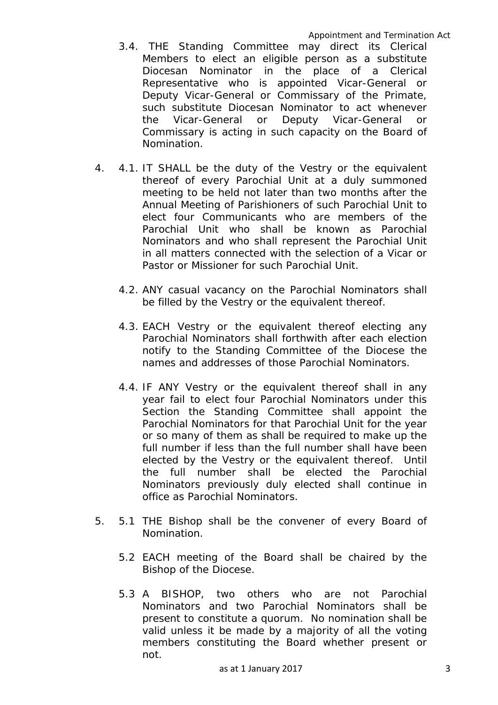- 3.4. THE Standing Committee may direct its Clerical Members to elect an eligible person as a substitute Diocesan Nominator in the place of a Clerical Representative who is appointed Vicar-General or Deputy Vicar-General or Commissary of the Primate, such substitute Diocesan Nominator to act whenever the Vicar-General or Deputy Vicar-General or Commissary is acting in such capacity on the Board of Nomination.
- 4. 4.1. IT SHALL be the duty of the Vestry or the equivalent thereof of every Parochial Unit at a duly summoned meeting to be held not later than two months after the Annual Meeting of Parishioners of such Parochial Unit to elect four Communicants who are members of the Parochial Unit who shall be known as Parochial Nominators and who shall represent the Parochial Unit in all matters connected with the selection of a Vicar or Pastor or Missioner for such Parochial Unit.
	- 4.2. ANY casual vacancy on the Parochial Nominators shall be filled by the Vestry or the equivalent thereof.
	- 4.3. EACH Vestry or the equivalent thereof electing any Parochial Nominators shall forthwith after each election notify to the Standing Committee of the Diocese the names and addresses of those Parochial Nominators.
	- 4.4. IF ANY Vestry or the equivalent thereof shall in any year fail to elect four Parochial Nominators under this Section the Standing Committee shall appoint the Parochial Nominators for that Parochial Unit for the year or so many of them as shall be required to make up the full number if less than the full number shall have been elected by the Vestry or the equivalent thereof. Until the full number shall be elected the Parochial Nominators previously duly elected shall continue in office as Parochial Nominators.
- 5. 5.1 THE Bishop shall be the convener of every Board of Nomination.
	- 5.2 EACH meeting of the Board shall be chaired by the Bishop of the Diocese.
	- 5.3 A BISHOP, two others who are not Parochial Nominators and two Parochial Nominators shall be present to constitute a quorum. No nomination shall be valid unless it be made by a majority of all the voting members constituting the Board whether present or not.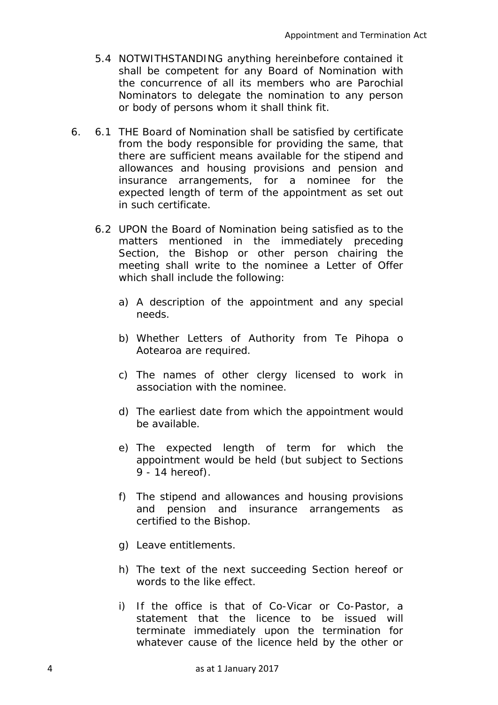- 5.4 NOTWITHSTANDING anything hereinbefore contained it shall be competent for any Board of Nomination with the concurrence of all its members who are Parochial Nominators to delegate the nomination to any person or body of persons whom it shall think fit.
- 6. 6.1 THE Board of Nomination shall be satisfied by certificate from the body responsible for providing the same, that there are sufficient means available for the stipend and allowances and housing provisions and pension and insurance arrangements, for a nominee for the expected length of term of the appointment as set out in such certificate.
	- 6.2 UPON the Board of Nomination being satisfied as to the matters mentioned in the immediately preceding Section, the Bishop or other person chairing the meeting shall write to the nominee a Letter of Offer which shall include the following:
		- a) A description of the appointment and any special needs.
		- b) Whether Letters of Authority from Te Pihopa o Aotearoa are required.
		- c) The names of other clergy licensed to work in association with the nominee.
		- d) The earliest date from which the appointment would be available.
		- e) The expected length of term for which the appointment would be held (but subject to Sections 9 - 14 hereof).
		- f) The stipend and allowances and housing provisions and pension and insurance arrangements as certified to the Bishop.
		- g) Leave entitlements.
		- h) The text of the next succeeding Section hereof or words to the like effect.
		- i) If the office is that of Co-Vicar or Co-Pastor, a statement that the licence to be issued will terminate immediately upon the termination for whatever cause of the licence held by the other or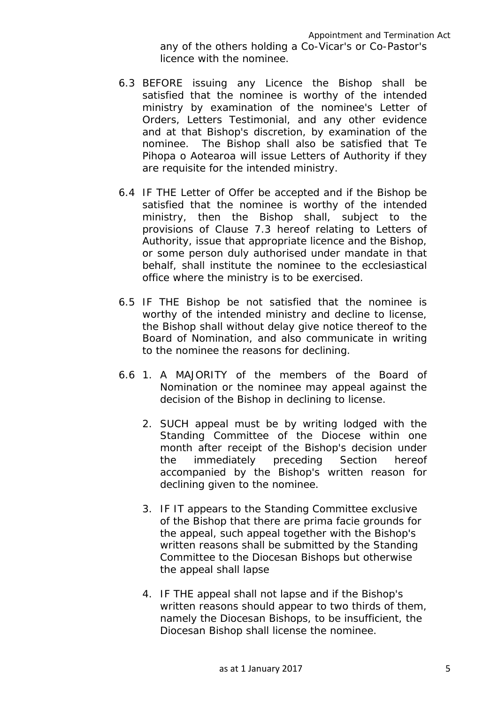- 6.3 BEFORE issuing any Licence the Bishop shall be satisfied that the nominee is worthy of the intended ministry by examination of the nominee's Letter of Orders, Letters Testimonial, and any other evidence and at that Bishop's discretion, by examination of the nominee. The Bishop shall also be satisfied that Te Pihopa o Aotearoa will issue Letters of Authority if they are requisite for the intended ministry.
- 6.4 IF THE Letter of Offer be accepted and if the Bishop be satisfied that the nominee is worthy of the intended ministry, then the Bishop shall, subject to the provisions of Clause 7.3 hereof relating to Letters of Authority, issue that appropriate licence and the Bishop, or some person duly authorised under mandate in that behalf, shall institute the nominee to the ecclesiastical office where the ministry is to be exercised.
- 6.5 IF THE Bishop be not satisfied that the nominee is worthy of the intended ministry and decline to license, the Bishop shall without delay give notice thereof to the Board of Nomination, and also communicate in writing to the nominee the reasons for declining.
- 6.6 1. A MAJORITY of the members of the Board of Nomination or the nominee may appeal against the decision of the Bishop in declining to license.
	- 2. SUCH appeal must be by writing lodged with the Standing Committee of the Diocese within one month after receipt of the Bishop's decision under the immediately preceding Section hereof accompanied by the Bishop's written reason for declining given to the nominee.
	- 3. IF IT appears to the Standing Committee exclusive of the Bishop that there are prima facie grounds for the appeal, such appeal together with the Bishop's written reasons shall be submitted by the Standing Committee to the Diocesan Bishops but otherwise the appeal shall lapse
	- 4. IF THE appeal shall not lapse and if the Bishop's written reasons should appear to two thirds of them, namely the Diocesan Bishops, to be insufficient, the Diocesan Bishop shall license the nominee.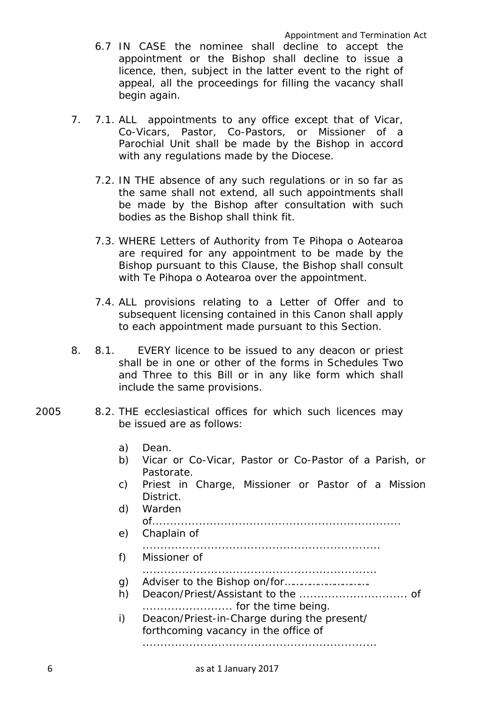- 6.7 IN CASE the nominee shall decline to accept the appointment or the Bishop shall decline to issue a licence, then, subject in the latter event to the right of appeal, all the proceedings for filling the vacancy shall begin again.
- 7. 7.1. ALL appointments to any office except that of Vicar, Co-Vicars, Pastor, Co-Pastors, or Missioner of a Parochial Unit shall be made by the Bishop in accord with any regulations made by the Diocese.
	- 7.2. IN THE absence of any such regulations or in so far as the same shall not extend, all such appointments shall be made by the Bishop after consultation with such bodies as the Bishop shall think fit.
	- 7.3. WHERE Letters of Authority from Te Pihopa o Aotearoa are required for any appointment to be made by the Bishop pursuant to this Clause, the Bishop shall consult with Te Pihopa o Aotearoa over the appointment.
	- 7.4. ALL provisions relating to a Letter of Offer and to subsequent licensing contained in this Canon shall apply to each appointment made pursuant to this Section.
- 8. 8.1. EVERY licence to be issued to any deacon or priest shall be in one or other of the forms in Schedules Two and Three to this Bill or in any like form which shall include the same provisions.
- 2005 8.2. THE ecclesiastical offices for which such licences may be issued are as follows:
	- a) Dean.
	- b) Vicar or Co-Vicar, Pastor or Co-Pastor of a Parish, or Pastorate.
	- c) Priest in Charge, Missioner or Pastor of a Mission District.
	- d) Warden of..................................................................... e) Chaplain of .................................................................. f) Missioner of ................................................................. g) Adviser to the Bishop on/for…………………………. h) Deacon/Priest/Assistant to the .............................. of
	- ......................... for the time being. i) Deacon/Priest-in-Charge during the present/

forthcoming vacancy in the office of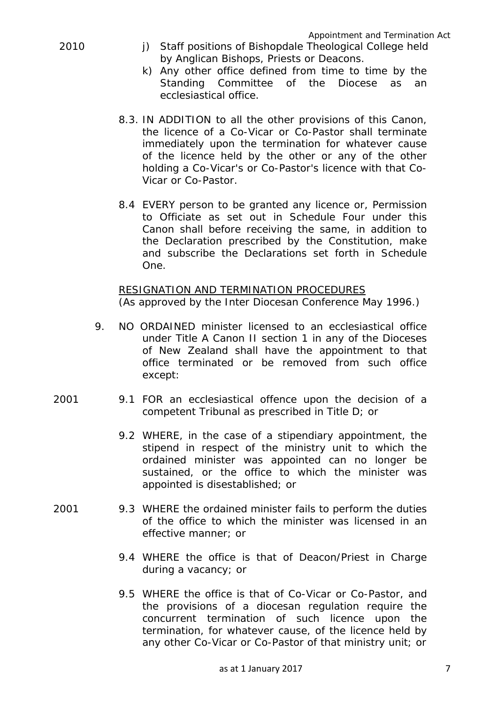- 2010 i) Staff positions of Bishopdale Theological College held by Anglican Bishops, Priests or Deacons.
	- k) Any other office defined from time to time by the Standing Committee of the Diocese as an ecclesiastical office.
	- 8.3. IN ADDITION to all the other provisions of this Canon, the licence of a Co-Vicar or Co-Pastor shall terminate immediately upon the termination for whatever cause of the licence held by the other or any of the other holding a Co-Vicar's or Co-Pastor's licence with that Co-Vicar or Co-Pastor.
	- 8.4 EVERY person to be granted any licence or, Permission to Officiate as set out in Schedule Four under this Canon shall before receiving the same, in addition to the Declaration prescribed by the Constitution, make and subscribe the Declarations set forth in Schedule One.

RESIGNATION AND TERMINATION PROCEDURES (As approved by the Inter Diocesan Conference May 1996.)

- 9. NO ORDAINED minister licensed to an ecclesiastical office under Title A Canon II section 1 in any of the Dioceses of New Zealand shall have the appointment to that office terminated or be removed from such office except:
- 2001 9.1 FOR an ecclesiastical offence upon the decision of a competent Tribunal as prescribed in Title D; or
	- 9.2 WHERE, in the case of a stipendiary appointment, the stipend in respect of the ministry unit to which the ordained minister was appointed can no longer be sustained, or the office to which the minister was appointed is disestablished; or
- 2001 9.3 WHERE the ordained minister fails to perform the duties of the office to which the minister was licensed in an effective manner; or
	- 9.4 WHERE the office is that of Deacon/Priest in Charge during a vacancy; or
	- 9.5 WHERE the office is that of Co-Vicar or Co-Pastor, and the provisions of a diocesan regulation require the concurrent termination of such licence upon the termination, for whatever cause, of the licence held by any other Co-Vicar or Co-Pastor of that ministry unit; or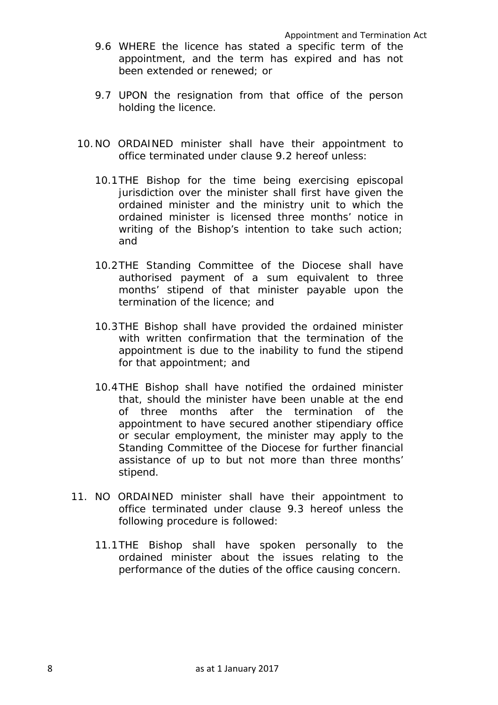- 9.6 WHERE the licence has stated a specific term of the appointment, and the term has expired and has not been extended or renewed; or
- 9.7 UPON the resignation from that office of the person holding the licence.
- 10.NO ORDAINED minister shall have their appointment to office terminated under clause 9.2 hereof unless:
	- 10.1THE Bishop for the time being exercising episcopal jurisdiction over the minister shall first have given the ordained minister and the ministry unit to which the ordained minister is licensed three months' notice in writing of the Bishop's intention to take such action; and
	- 10.2THE Standing Committee of the Diocese shall have authorised payment of a sum equivalent to three months' stipend of that minister payable upon the termination of the licence; and
	- 10.3THE Bishop shall have provided the ordained minister with written confirmation that the termination of the appointment is due to the inability to fund the stipend for that appointment; and
	- 10.4THE Bishop shall have notified the ordained minister that, should the minister have been unable at the end of three months after the termination of the appointment to have secured another stipendiary office or secular employment, the minister may apply to the Standing Committee of the Diocese for further financial assistance of up to but not more than three months' stipend.
- 11. NO ORDAINED minister shall have their appointment to office terminated under clause 9.3 hereof unless the following procedure is followed:
	- 11.1THE Bishop shall have spoken personally to the ordained minister about the issues relating to the performance of the duties of the office causing concern.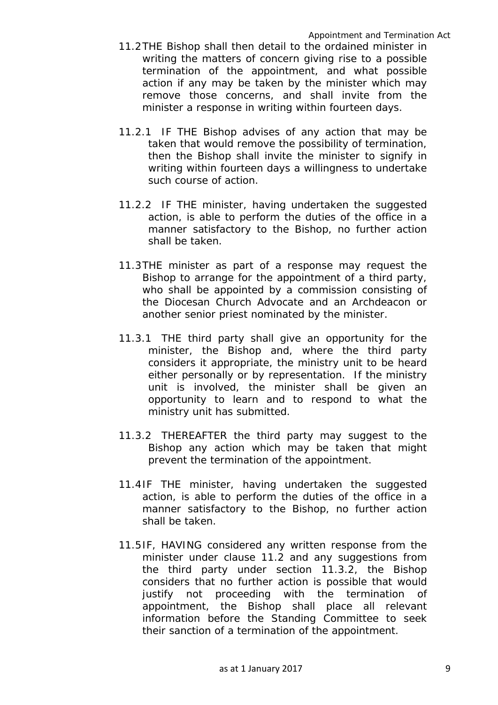- 11.2THE Bishop shall then detail to the ordained minister in writing the matters of concern giving rise to a possible termination of the appointment, and what possible action if any may be taken by the minister which may remove those concerns, and shall invite from the minister a response in writing within fourteen days.
- 11.2.1 IF THE Bishop advises of any action that may be taken that would remove the possibility of termination, then the Bishop shall invite the minister to signify in writing within fourteen days a willingness to undertake such course of action.
- 11.2.2 IF THE minister, having undertaken the suggested action, is able to perform the duties of the office in a manner satisfactory to the Bishop, no further action shall be taken.
- 11.3THE minister as part of a response may request the Bishop to arrange for the appointment of a third party, who shall be appointed by a commission consisting of the Diocesan Church Advocate and an Archdeacon or another senior priest nominated by the minister.
- 11.3.1 THE third party shall give an opportunity for the minister, the Bishop and, where the third party considers it appropriate, the ministry unit to be heard either personally or by representation. If the ministry unit is involved, the minister shall be given an opportunity to learn and to respond to what the ministry unit has submitted.
- 11.3.2 THEREAFTER the third party may suggest to the Bishop any action which may be taken that might prevent the termination of the appointment.
- 11.4IF THE minister, having undertaken the suggested action, is able to perform the duties of the office in a manner satisfactory to the Bishop, no further action shall be taken.
- 11.5IF, HAVING considered any written response from the minister under clause 11.2 and any suggestions from the third party under section 11.3.2, the Bishop considers that no further action is possible that would justify not proceeding with the termination of appointment, the Bishop shall place all relevant information before the Standing Committee to seek their sanction of a termination of the appointment.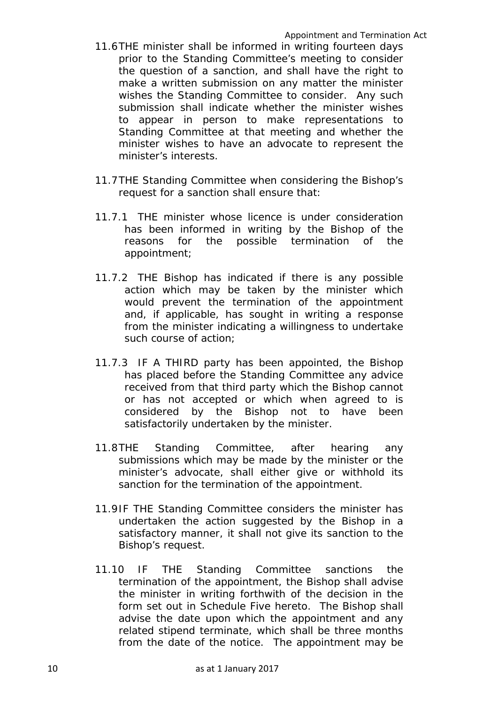- 11.6THE minister shall be informed in writing fourteen days prior to the Standing Committee's meeting to consider the question of a sanction, and shall have the right to make a written submission on any matter the minister wishes the Standing Committee to consider. Any such submission shall indicate whether the minister wishes to appear in person to make representations to Standing Committee at that meeting and whether the minister wishes to have an advocate to represent the minister's interests.
- 11.7THE Standing Committee when considering the Bishop's request for a sanction shall ensure that:
- 11.7.1 THE minister whose licence is under consideration has been informed in writing by the Bishop of the reasons for the possible termination of the appointment;
- 11.7.2 THE Bishop has indicated if there is any possible action which may be taken by the minister which would prevent the termination of the appointment and, if applicable, has sought in writing a response from the minister indicating a willingness to undertake such course of action;
- 11.7.3 IF A THIRD party has been appointed, the Bishop has placed before the Standing Committee any advice received from that third party which the Bishop cannot or has not accepted or which when agreed to is considered by the Bishop not to have been satisfactorily undertaken by the minister.
- 11.8THE Standing Committee, after hearing any submissions which may be made by the minister or the minister's advocate, shall either give or withhold its sanction for the termination of the appointment.
- 11.9IF THE Standing Committee considers the minister has undertaken the action suggested by the Bishop in a satisfactory manner, it shall not give its sanction to the Bishop's request.
- 11.10 IF THE Standing Committee sanctions the termination of the appointment, the Bishop shall advise the minister in writing forthwith of the decision in the form set out in Schedule Five hereto. The Bishop shall advise the date upon which the appointment and any related stipend terminate, which shall be three months from the date of the notice. The appointment may be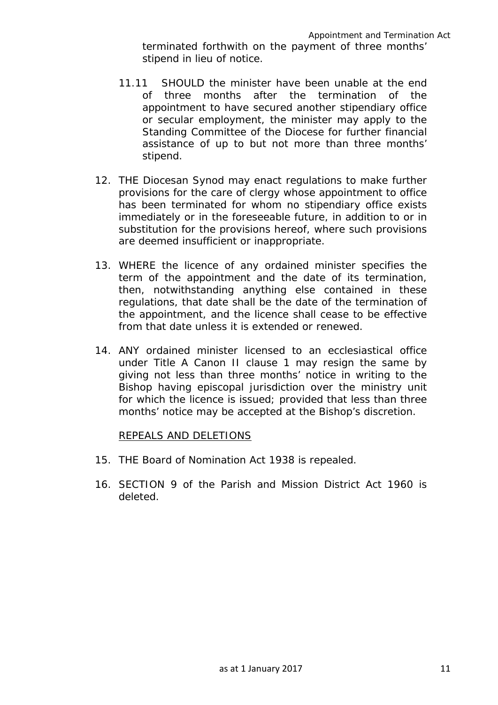- 11.11 SHOULD the minister have been unable at the end of three months after the termination of the appointment to have secured another stipendiary office or secular employment, the minister may apply to the Standing Committee of the Diocese for further financial assistance of up to but not more than three months' stipend.
- 12. THE Diocesan Synod may enact regulations to make further provisions for the care of clergy whose appointment to office has been terminated for whom no stipendiary office exists immediately or in the foreseeable future, in addition to or in substitution for the provisions hereof, where such provisions are deemed insufficient or inappropriate.
- 13. WHERE the licence of any ordained minister specifies the term of the appointment and the date of its termination, then, notwithstanding anything else contained in these regulations, that date shall be the date of the termination of the appointment, and the licence shall cease to be effective from that date unless it is extended or renewed.
- 14. ANY ordained minister licensed to an ecclesiastical office under Title A Canon II clause 1 may resign the same by giving not less than three months' notice in writing to the Bishop having episcopal jurisdiction over the ministry unit for which the licence is issued; provided that less than three months' notice may be accepted at the Bishop's discretion.

# REPEALS AND DELETIONS

- 15. THE Board of Nomination Act 1938 is repealed.
- 16. SECTION 9 of the Parish and Mission District Act 1960 is deleted.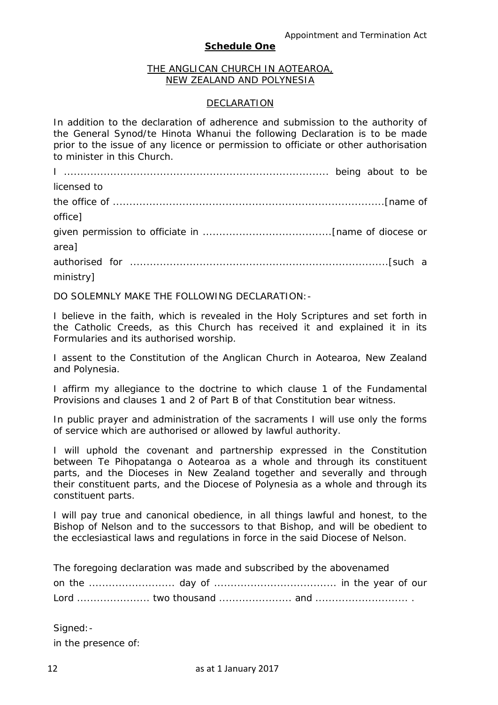#### **Schedule One**

#### THE ANGLICAN CHURCH IN AOTEAROA, NEW ZEALAND AND POLYNESIA

#### DECLARATION

In addition to the declaration of adherence and submission to the authority of the General Synod/te Hinota Whanui the following Declaration is to be made prior to the issue of any licence or permission to officiate or other authorisation to minister in this Church.

I ................................................................................ being about to be licensed to the office of ..................................................................................*[name of office]* given permission to officiate in .......................................*[name of diocese or area]* authorised for ..............................................................................*[such a ministry]*

DO SOLEMNLY MAKE THE FOLLOWING DECLARATION:-

I believe in the faith, which is revealed in the Holy Scriptures and set forth in the Catholic Creeds, as this Church has received it and explained it in its Formularies and its authorised worship.

I assent to the Constitution of the Anglican Church in Aotearoa, New Zealand and Polynesia.

I affirm my allegiance to the doctrine to which clause 1 of the Fundamental Provisions and clauses 1 and 2 of Part B of that Constitution bear witness.

In public prayer and administration of the sacraments I will use only the forms of service which are authorised or allowed by lawful authority.

I will uphold the covenant and partnership expressed in the Constitution between Te Pihopatanga o Aotearoa as a whole and through its constituent parts, and the Dioceses in New Zealand together and severally and through their constituent parts, and the Diocese of Polynesia as a whole and through its constituent parts.

I will pay true and canonical obedience, in all things lawful and honest, to the Bishop of Nelson and to the successors to that Bishop, and will be obedient to the ecclesiastical laws and regulations in force in the said Diocese of Nelson.

The foregoing declaration was made and subscribed by the abovenamed

Signed: in the presence of: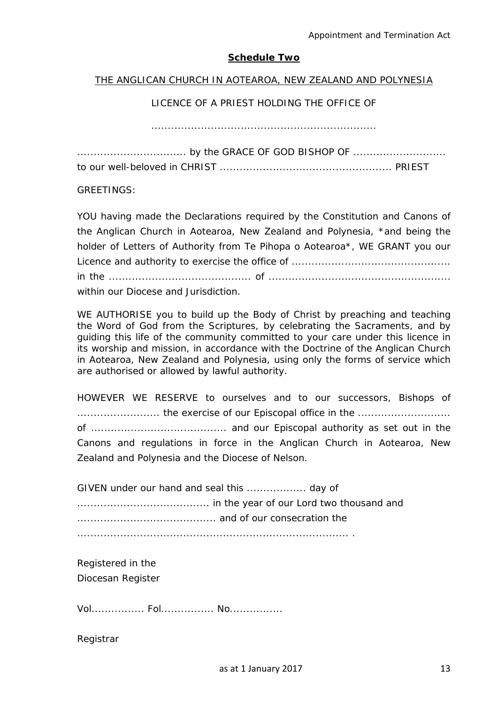#### **Schedule Two**

#### THE ANGLICAN CHURCH IN AOTEAROA, NEW ZEALAND AND POLYNESIA

# LICENCE OF A PRIEST HOLDING THE OFFICE OF

....................................................................

GREETINGS:

YOU having made the Declarations required by the Constitution and Canons of the Anglican Church in Aotearoa, New Zealand and Polynesia, \*and being the holder of Letters of Authority from Te Pihopa o Aotearoa\*, WE GRANT you our Licence and authority to exercise the office of ................................................ in the ........................................... of ....................................................... within our Diocese and Jurisdiction.

WE AUTHORISE you to build up the Body of Christ by preaching and teaching the Word of God from the Scriptures, by celebrating the Sacraments, and by guiding this life of the community committed to your care under this licence in its worship and mission, in accordance with the Doctrine of the Anglican Church in Aotearoa, New Zealand and Polynesia, using only the forms of service which are authorised or allowed by lawful authority.

HOWEVER WE RESERVE to ourselves and to our successors, Bishops of ......................... the exercise of our Episcopal office in the ............................ of ......................................... and our Episcopal authority as set out in the Canons and regulations in force in the Anglican Church in Aotearoa, New Zealand and Polynesia and the Diocese of Nelson.

GIVEN under our hand and seal this .................. day of ........................................ in the year of our Lord two thousand and .......................................... and of our consecration the .................................................................................. .

Registered in the Diocesan Register

Vol................ Fol................ No................

Registrar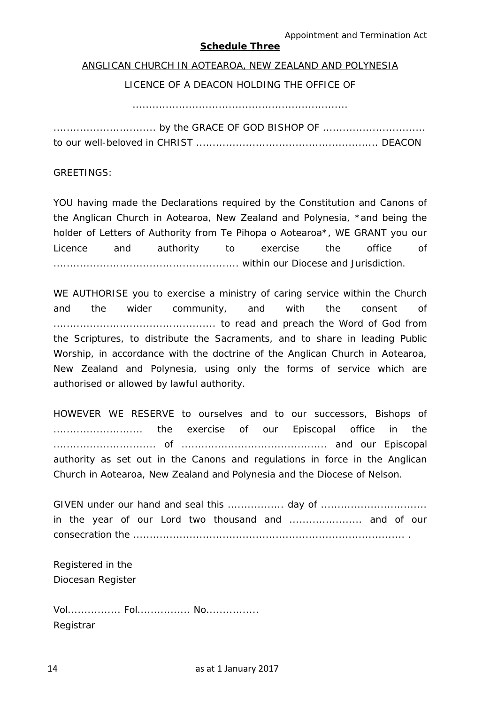Appointment and Termination Act

# **Schedule Three**

#### ANGLICAN CHURCH IN AOTEAROA, NEW ZEALAND AND POLYNESIA

#### LICENCE OF A DEACON HOLDING THE OFFICE OF

.................................................................

............................... by the GRACE OF GOD BISHOP OF ............................... to our well-beloved in CHRIST ....................................................... DEACON

GREETINGS:

YOU having made the Declarations required by the Constitution and Canons of the Anglican Church in Aotearoa, New Zealand and Polynesia, \*and being the holder of Letters of Authority from Te Pihopa o Aotearoa\*, WE GRANT you our Licence and authority to exercise the office of ........................................................ within our Diocese and Jurisdiction.

WE AUTHORISE you to exercise a ministry of caring service within the Church and the wider community, and with the consent of ................................................. to read and preach the Word of God from the Scriptures, to distribute the Sacraments, and to share in leading Public Worship, in accordance with the doctrine of the Anglican Church in Aotearoa, New Zealand and Polynesia, using only the forms of service which are authorised or allowed by lawful authority.

HOWEVER WE RESERVE to ourselves and to our successors, Bishops of ........................... the exercise of our Episcopal office in the ............................... of ............................................ and our Episcopal authority as set out in the Canons and regulations in force in the Anglican Church in Aotearoa, New Zealand and Polynesia and the Diocese of Nelson.

GIVEN under our hand and seal this ................. day of ................................ in the year of our Lord two thousand and ...................... and of our consecration the .................................................................................. .

Registered in the Diocesan Register

Vol................ Fol................ No................ Registrar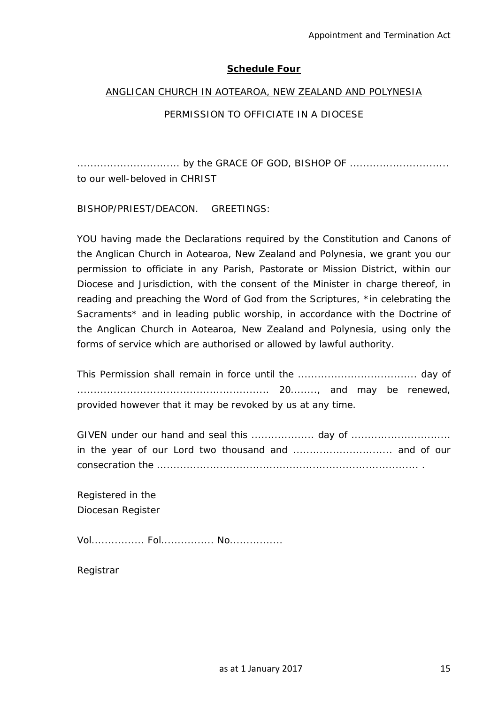# **Schedule Four**

### ANGLICAN CHURCH IN AOTEAROA, NEW ZEALAND AND POLYNESIA

# PERMISSION TO OFFICIATE IN A DIOCESE

............................... by the GRACE OF GOD, BISHOP OF .............................. to our well-beloved in CHRIST

BISHOP/PRIEST/DEACON. GREETINGS:

YOU having made the Declarations required by the Constitution and Canons of the Anglican Church in Aotearoa, New Zealand and Polynesia, we grant you our permission to officiate in any Parish, Pastorate or Mission District, within our Diocese and Jurisdiction, with the consent of the Minister in charge thereof, in reading and preaching the Word of God from the Scriptures, \*in celebrating the Sacraments<sup>\*</sup> and in leading public worship, in accordance with the Doctrine of the Anglican Church in Aotearoa, New Zealand and Polynesia, using only the forms of service which are authorised or allowed by lawful authority.

This Permission shall remain in force until the .................................... day of .......................................................... 20........, and may be renewed, provided however that it may be revoked by us at any time.

GIVEN under our hand and seal this ................... day of .............................. in the year of our Lord two thousand and .............................. and of our consecration the ............................................................................... .

Registered in the Diocesan Register

Vol................ Fol................ No................

Registrar